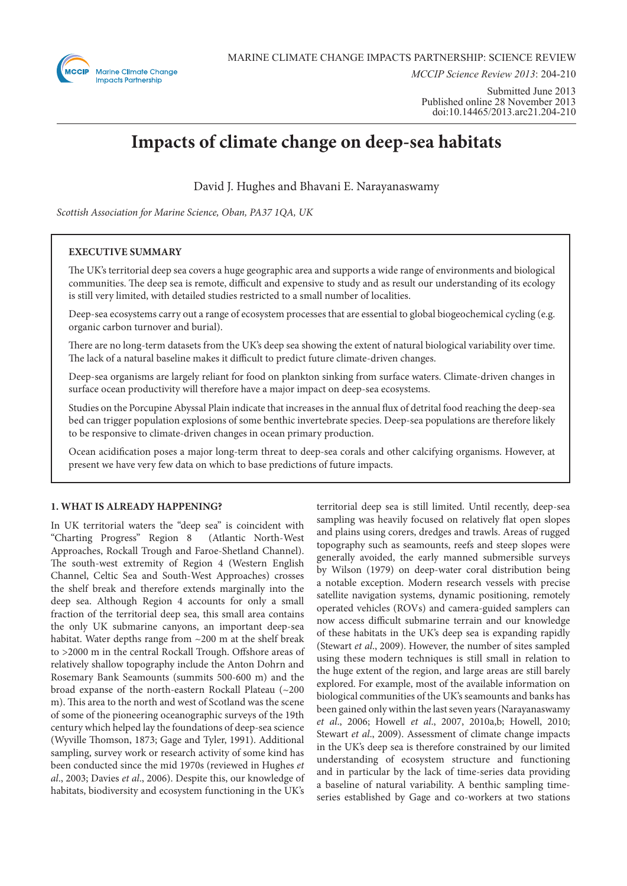

*MCCIP Science Review 2013*: 204-210

Submitted June 2013 Published online 28 November 2013 doi:10.14465/2013.arc21.204-210

# **Impacts of climate change on deep-sea habitats**

David J. Hughes and Bhavani E. Narayanaswamy

*Scottish Association for Marine Science, Oban, PA37 1QA, UK*

# **EXECUTIVE SUMMARY**

The UK's territorial deep sea covers a huge geographic area and supports a wide range of environments and biological communities. The deep sea is remote, difficult and expensive to study and as result our understanding of its ecology is still very limited, with detailed studies restricted to a small number of localities.

Deep-sea ecosystems carry out a range of ecosystem processes that are essential to global biogeochemical cycling (e.g. organic carbon turnover and burial).

There are no long-term datasets from the UK's deep sea showing the extent of natural biological variability over time. The lack of a natural baseline makes it difficult to predict future climate-driven changes.

Deep-sea organisms are largely reliant for food on plankton sinking from surface waters. Climate-driven changes in surface ocean productivity will therefore have a major impact on deep-sea ecosystems.

Studies on the Porcupine Abyssal Plain indicate that increases in the annual flux of detrital food reaching the deep-sea bed can trigger population explosions of some benthic invertebrate species. Deep-sea populations are therefore likely to be responsive to climate-driven changes in ocean primary production.

Ocean acidification poses a major long-term threat to deep-sea corals and other calcifying organisms. However, at present we have very few data on which to base predictions of future impacts.

# **1. WHAT IS ALREADY HAPPENING?**

In UK territorial waters the "deep sea" is coincident with "Charting Progress" Region 8 (Atlantic North-West Approaches, Rockall Trough and Faroe-Shetland Channel). The south-west extremity of Region 4 (Western English Channel, Celtic Sea and South-West Approaches) crosses the shelf break and therefore extends marginally into the deep sea. Although Region 4 accounts for only a small fraction of the territorial deep sea, this small area contains the only UK submarine canyons, an important deep-sea habitat. Water depths range from ~200 m at the shelf break to >2000 m in the central Rockall Trough. Offshore areas of relatively shallow topography include the Anton Dohrn and Rosemary Bank Seamounts (summits 500-600 m) and the broad expanse of the north-eastern Rockall Plateau (~200 m). This area to the north and west of Scotland was the scene of some of the pioneering oceanographic surveys of the 19th century which helped lay the foundations of deep-sea science (Wyville Thomson, 1873; Gage and Tyler, 1991). Additional sampling, survey work or research activity of some kind has been conducted since the mid 1970s (reviewed in Hughes *et al*., 2003; Davies *et al*., 2006). Despite this, our knowledge of habitats, biodiversity and ecosystem functioning in the UK's

territorial deep sea is still limited. Until recently, deep-sea sampling was heavily focused on relatively flat open slopes and plains using corers, dredges and trawls. Areas of rugged topography such as seamounts, reefs and steep slopes were generally avoided, the early manned submersible surveys by Wilson (1979) on deep-water coral distribution being a notable exception. Modern research vessels with precise satellite navigation systems, dynamic positioning, remotely operated vehicles (ROVs) and camera-guided samplers can now access difficult submarine terrain and our knowledge of these habitats in the UK's deep sea is expanding rapidly (Stewart *et al*., 2009). However, the number of sites sampled using these modern techniques is still small in relation to the huge extent of the region, and large areas are still barely explored. For example, most of the available information on biological communities of the UK's seamounts and banks has been gained only within the last seven years (Narayanaswamy *et al*., 2006; Howell *et al*., 2007, 2010a,b; Howell, 2010; Stewart *et al*., 2009). Assessment of climate change impacts in the UK's deep sea is therefore constrained by our limited understanding of ecosystem structure and functioning and in particular by the lack of time-series data providing a baseline of natural variability. A benthic sampling timeseries established by Gage and co-workers at two stations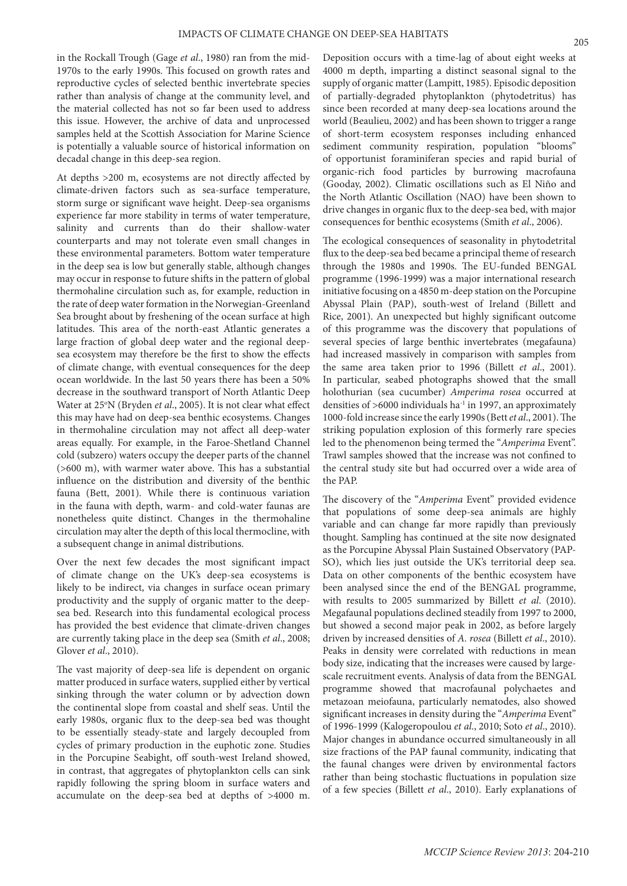in the Rockall Trough (Gage *et al*., 1980) ran from the mid-1970s to the early 1990s. This focused on growth rates and reproductive cycles of selected benthic invertebrate species rather than analysis of change at the community level, and the material collected has not so far been used to address this issue. However, the archive of data and unprocessed samples held at the Scottish Association for Marine Science is potentially a valuable source of historical information on decadal change in this deep-sea region.

At depths >200 m, ecosystems are not directly affected by climate-driven factors such as sea-surface temperature, storm surge or significant wave height. Deep-sea organisms experience far more stability in terms of water temperature, salinity and currents than do their shallow-water counterparts and may not tolerate even small changes in these environmental parameters. Bottom water temperature in the deep sea is low but generally stable, although changes may occur in response to future shifts in the pattern of global thermohaline circulation such as, for example, reduction in the rate of deep water formation in the Norwegian-Greenland Sea brought about by freshening of the ocean surface at high latitudes. This area of the north-east Atlantic generates a large fraction of global deep water and the regional deepsea ecosystem may therefore be the first to show the effects of climate change, with eventual consequences for the deep ocean worldwide. In the last 50 years there has been a 50% decrease in the southward transport of North Atlantic Deep Water at 25°N (Bryden et al., 2005). It is not clear what effect this may have had on deep-sea benthic ecosystems. Changes in thermohaline circulation may not affect all deep-water areas equally. For example, in the Faroe-Shetland Channel cold (subzero) waters occupy the deeper parts of the channel (>600 m), with warmer water above. This has a substantial influence on the distribution and diversity of the benthic fauna (Bett, 2001). While there is continuous variation in the fauna with depth, warm- and cold-water faunas are nonetheless quite distinct. Changes in the thermohaline circulation may alter the depth of this local thermocline, with a subsequent change in animal distributions.

Over the next few decades the most significant impact of climate change on the UK's deep-sea ecosystems is likely to be indirect, via changes in surface ocean primary productivity and the supply of organic matter to the deepsea bed. Research into this fundamental ecological process has provided the best evidence that climate-driven changes are currently taking place in the deep sea (Smith *et al*., 2008; Glover *et al*., 2010).

The vast majority of deep-sea life is dependent on organic matter produced in surface waters, supplied either by vertical sinking through the water column or by advection down the continental slope from coastal and shelf seas. Until the early 1980s, organic flux to the deep-sea bed was thought to be essentially steady-state and largely decoupled from cycles of primary production in the euphotic zone. Studies in the Porcupine Seabight, off south-west Ireland showed, in contrast, that aggregates of phytoplankton cells can sink rapidly following the spring bloom in surface waters and accumulate on the deep-sea bed at depths of >4000 m.

Deposition occurs with a time-lag of about eight weeks at 4000 m depth, imparting a distinct seasonal signal to the supply of organic matter (Lampitt, 1985). Episodic deposition of partially-degraded phytoplankton (phytodetritus) has since been recorded at many deep-sea locations around the world (Beaulieu, 2002) and has been shown to trigger a range of short-term ecosystem responses including enhanced sediment community respiration, population "blooms" of opportunist foraminiferan species and rapid burial of organic-rich food particles by burrowing macrofauna (Gooday, 2002). Climatic oscillations such as El Niño and the North Atlantic Oscillation (NAO) have been shown to drive changes in organic flux to the deep-sea bed, with major consequences for benthic ecosystems (Smith *et al*., 2006).

The ecological consequences of seasonality in phytodetrital flux to the deep-sea bed became a principal theme of research through the 1980s and 1990s. The EU-funded BENGAL programme (1996-1999) was a major international research initiative focusing on a 4850 m-deep station on the Porcupine Abyssal Plain (PAP), south-west of Ireland (Billett and Rice, 2001). An unexpected but highly significant outcome of this programme was the discovery that populations of several species of large benthic invertebrates (megafauna) had increased massively in comparison with samples from the same area taken prior to 1996 (Billett *et al*., 2001). In particular, seabed photographs showed that the small holothurian (sea cucumber) *Amperima rosea* occurred at densities of  $>6000$  individuals ha<sup>-1</sup> in 1997, an approximately 1000-fold increase since the early 1990s (Bett *et al*., 2001). The striking population explosion of this formerly rare species led to the phenomenon being termed the "*Amperima* Event". Trawl samples showed that the increase was not confined to the central study site but had occurred over a wide area of the PAP.

The discovery of the "*Amperima* Event" provided evidence that populations of some deep-sea animals are highly variable and can change far more rapidly than previously thought. Sampling has continued at the site now designated as the Porcupine Abyssal Plain Sustained Observatory (PAP-SO), which lies just outside the UK's territorial deep sea. Data on other components of the benthic ecosystem have been analysed since the end of the BENGAL programme, with results to 2005 summarized by Billett *et al*. (2010). Megafaunal populations declined steadily from 1997 to 2000, but showed a second major peak in 2002, as before largely driven by increased densities of *A. rosea* (Billett *et al*., 2010). Peaks in density were correlated with reductions in mean body size, indicating that the increases were caused by largescale recruitment events. Analysis of data from the BENGAL programme showed that macrofaunal polychaetes and metazoan meiofauna, particularly nematodes, also showed significant increases in density during the "*Amperima* Event" of 1996-1999 (Kalogeropoulou *et al*., 2010; Soto *et al*., 2010). Major changes in abundance occurred simultaneously in all size fractions of the PAP faunal community, indicating that the faunal changes were driven by environmental factors rather than being stochastic fluctuations in population size of a few species (Billett *et al*., 2010). Early explanations of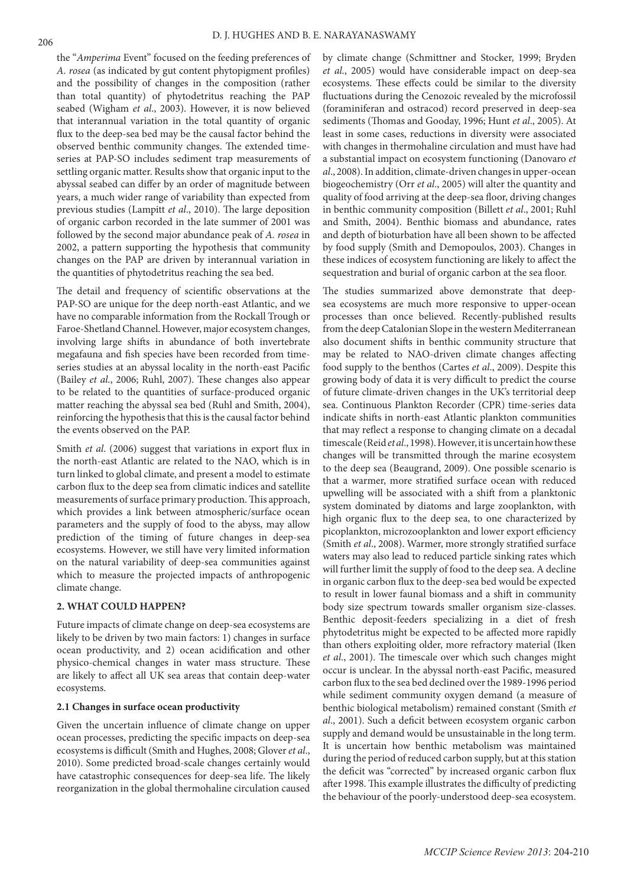the "*Amperima* Event" focused on the feeding preferences of *A. rosea* (as indicated by gut content phytopigment profiles) and the possibility of changes in the composition (rather than total quantity) of phytodetritus reaching the PAP seabed (Wigham *et al*., 2003). However, it is now believed that interannual variation in the total quantity of organic flux to the deep-sea bed may be the causal factor behind the observed benthic community changes. The extended timeseries at PAP-SO includes sediment trap measurements of settling organic matter. Results show that organic input to the abyssal seabed can differ by an order of magnitude between years, a much wider range of variability than expected from previous studies (Lampitt *et al*., 2010). The large deposition of organic carbon recorded in the late summer of 2001 was followed by the second major abundance peak of *A. rosea* in 2002, a pattern supporting the hypothesis that community changes on the PAP are driven by interannual variation in the quantities of phytodetritus reaching the sea bed.

The detail and frequency of scientific observations at the PAP-SO are unique for the deep north-east Atlantic, and we have no comparable information from the Rockall Trough or Faroe-Shetland Channel. However, major ecosystem changes, involving large shifts in abundance of both invertebrate megafauna and fish species have been recorded from timeseries studies at an abyssal locality in the north-east Pacific (Bailey *et al*., 2006; Ruhl, 2007). These changes also appear to be related to the quantities of surface-produced organic matter reaching the abyssal sea bed (Ruhl and Smith, 2004), reinforcing the hypothesis that this is the causal factor behind the events observed on the PAP.

Smith *et al*. (2006) suggest that variations in export flux in the north-east Atlantic are related to the NAO, which is in turn linked to global climate, and present a model to estimate carbon flux to the deep sea from climatic indices and satellite measurements of surface primary production. This approach, which provides a link between atmospheric/surface ocean parameters and the supply of food to the abyss, may allow prediction of the timing of future changes in deep-sea ecosystems. However, we still have very limited information on the natural variability of deep-sea communities against which to measure the projected impacts of anthropogenic climate change.

# **2. WHAT COULD HAPPEN?**

Future impacts of climate change on deep-sea ecosystems are likely to be driven by two main factors: 1) changes in surface ocean productivity, and 2) ocean acidification and other physico-chemical changes in water mass structure. These are likely to affect all UK sea areas that contain deep-water ecosystems.

# **2.1 Changes in surface ocean productivity**

Given the uncertain influence of climate change on upper ocean processes, predicting the specific impacts on deep-sea ecosystems is difficult (Smith and Hughes, 2008; Glover *et al*., 2010). Some predicted broad-scale changes certainly would have catastrophic consequences for deep-sea life. The likely reorganization in the global thermohaline circulation caused by climate change (Schmittner and Stocker, 1999; Bryden *et al*., 2005) would have considerable impact on deep-sea ecosystems. These effects could be similar to the diversity fluctuations during the Cenozoic revealed by the microfossil (foraminiferan and ostracod) record preserved in deep-sea sediments (Thomas and Gooday, 1996; Hunt *et al*., 2005). At least in some cases, reductions in diversity were associated with changes in thermohaline circulation and must have had a substantial impact on ecosystem functioning (Danovaro *et al*., 2008). In addition, climate-driven changes in upper-ocean biogeochemistry (Orr *et al*., 2005) will alter the quantity and quality of food arriving at the deep-sea floor, driving changes in benthic community composition (Billett *et al*., 2001; Ruhl and Smith, 2004). Benthic biomass and abundance, rates and depth of bioturbation have all been shown to be affected by food supply (Smith and Demopoulos, 2003). Changes in these indices of ecosystem functioning are likely to affect the sequestration and burial of organic carbon at the sea floor.

The studies summarized above demonstrate that deepsea ecosystems are much more responsive to upper-ocean processes than once believed. Recently-published results from the deep Catalonian Slope in the western Mediterranean also document shifts in benthic community structure that may be related to NAO-driven climate changes affecting food supply to the benthos (Cartes *et al*., 2009). Despite this growing body of data it is very difficult to predict the course of future climate-driven changes in the UK's territorial deep sea. Continuous Plankton Recorder (CPR) time-series data indicate shifts in north-east Atlantic plankton communities that may reflect a response to changing climate on a decadal timescale (Reid *et al*., 1998). However, it is uncertain how these changes will be transmitted through the marine ecosystem to the deep sea (Beaugrand, 2009). One possible scenario is that a warmer, more stratified surface ocean with reduced upwelling will be associated with a shift from a planktonic system dominated by diatoms and large zooplankton, with high organic flux to the deep sea, to one characterized by picoplankton, microzooplankton and lower export efficiency (Smith *et al*., 2008). Warmer, more strongly stratified surface waters may also lead to reduced particle sinking rates which will further limit the supply of food to the deep sea. A decline in organic carbon flux to the deep-sea bed would be expected to result in lower faunal biomass and a shift in community body size spectrum towards smaller organism size-classes. Benthic deposit-feeders specializing in a diet of fresh phytodetritus might be expected to be affected more rapidly than others exploiting older, more refractory material (Iken *et al*., 2001). The timescale over which such changes might occur is unclear. In the abyssal north-east Pacific, measured carbon flux to the sea bed declined over the 1989-1996 period while sediment community oxygen demand (a measure of benthic biological metabolism) remained constant (Smith *et al*., 2001). Such a deficit between ecosystem organic carbon supply and demand would be unsustainable in the long term. It is uncertain how benthic metabolism was maintained during the period of reduced carbon supply, but at this station the deficit was "corrected" by increased organic carbon flux after 1998. This example illustrates the difficulty of predicting the behaviour of the poorly-understood deep-sea ecosystem.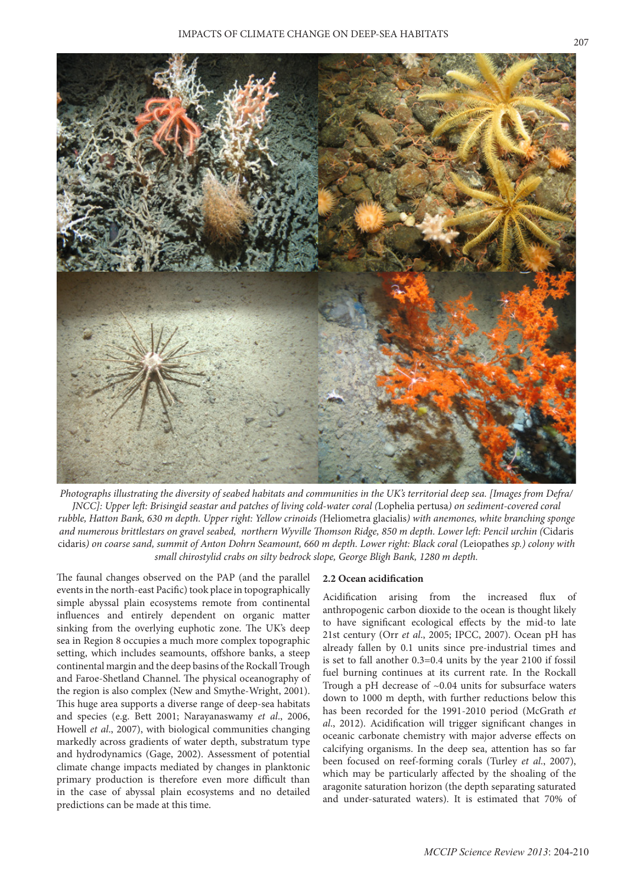

*Photographs illustrating the diversity of seabed habitats and communities in the UK's territorial deep sea. [Images from Defra/ JNCC]: Upper left: Brisingid seastar and patches of living cold-water coral (*Lophelia pertusa*) on sediment-covered coral rubble, Hatton Bank, 630 m depth. Upper right: Yellow crinoids (*Heliometra glacialis*) with anemones, white branching sponge and numerous brittlestars on gravel seabed, northern Wyville Thomson Ridge, 850 m depth. Lower left: Pencil urchin (*Cidaris cidaris*) on coarse sand, summit of Anton Dohrn Seamount, 660 m depth. Lower right: Black coral (*Leiopathes *sp.) colony with small chirostylid crabs on silty bedrock slope, George Bligh Bank, 1280 m depth.*

The faunal changes observed on the PAP (and the parallel events in the north-east Pacific) took place in topographically simple abyssal plain ecosystems remote from continental influences and entirely dependent on organic matter sinking from the overlying euphotic zone. The UK's deep sea in Region 8 occupies a much more complex topographic setting, which includes seamounts, offshore banks, a steep continental margin and the deep basins of the Rockall Trough and Faroe-Shetland Channel. The physical oceanography of the region is also complex (New and Smythe-Wright, 2001). This huge area supports a diverse range of deep-sea habitats and species (e.g. Bett 2001; Narayanaswamy *et al*., 2006, Howell *et al*., 2007), with biological communities changing markedly across gradients of water depth, substratum type and hydrodynamics (Gage, 2002). Assessment of potential climate change impacts mediated by changes in planktonic primary production is therefore even more difficult than in the case of abyssal plain ecosystems and no detailed predictions can be made at this time.

## **2.2 Ocean acidification**

Acidification arising from the increased flux of anthropogenic carbon dioxide to the ocean is thought likely to have significant ecological effects by the mid-to late 21st century (Orr *et al*., 2005; IPCC, 2007). Ocean pH has already fallen by 0.1 units since pre-industrial times and is set to fall another 0.3=0.4 units by the year 2100 if fossil fuel burning continues at its current rate. In the Rockall Trough a pH decrease of ~0.04 units for subsurface waters down to 1000 m depth, with further reductions below this has been recorded for the 1991-2010 period (McGrath *et al*., 2012). Acidification will trigger significant changes in oceanic carbonate chemistry with major adverse effects on calcifying organisms. In the deep sea, attention has so far been focused on reef-forming corals (Turley *et al*., 2007), which may be particularly affected by the shoaling of the aragonite saturation horizon (the depth separating saturated and under-saturated waters). It is estimated that 70% of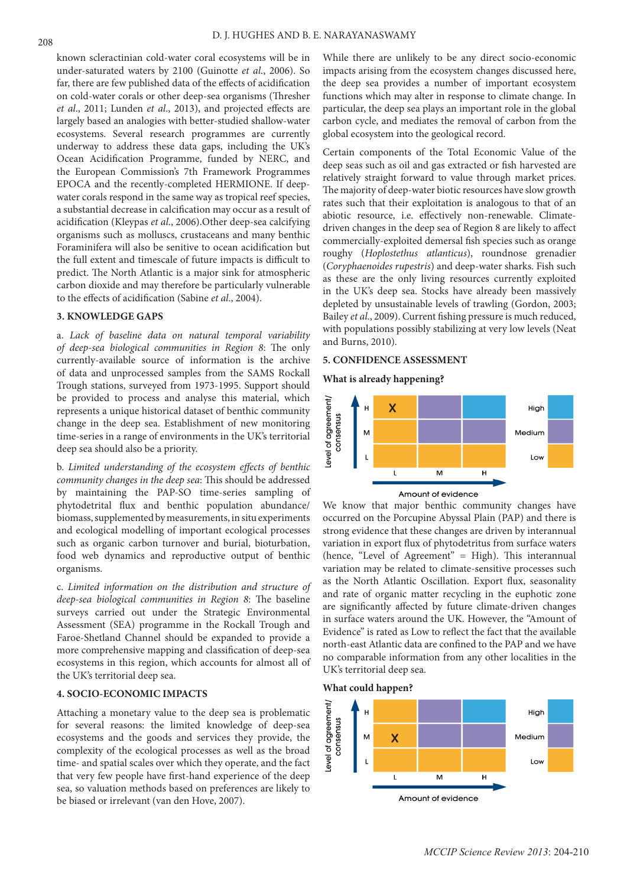known scleractinian cold-water coral ecosystems will be in under-saturated waters by 2100 (Guinotte *et al*., 2006). So far, there are few published data of the effects of acidification on cold-water corals or other deep-sea organisms (Thresher *et al*., 2011; Lunden *et al*., 2013), and projected effects are largely based an analogies with better-studied shallow-water ecosystems. Several research programmes are currently underway to address these data gaps, including the UK's Ocean Acidification Programme, funded by NERC, and the European Commission's 7th Framework Programmes EPOCA and the recently-completed HERMIONE. If deepwater corals respond in the same way as tropical reef species, a substantial decrease in calcification may occur as a result of acidification (Kleypas *et al*., 2006).Other deep-sea calcifying organisms such as molluscs, crustaceans and many benthic Foraminifera will also be senitive to ocean acidification but the full extent and timescale of future impacts is difficult to predict. The North Atlantic is a major sink for atmospheric carbon dioxide and may therefore be particularly vulnerable to the effects of acidification (Sabine *et al*., 2004).

# **3. KNOWLEDGE GAPS**

a. *Lack of baseline data on natural temporal variability of deep-sea biological communities in Region 8*: The only currently-available source of information is the archive of data and unprocessed samples from the SAMS Rockall Trough stations, surveyed from 1973-1995. Support should be provided to process and analyse this material, which represents a unique historical dataset of benthic community change in the deep sea. Establishment of new monitoring time-series in a range of environments in the UK's territorial deep sea should also be a priority.

b. *Limited understanding of the ecosystem effects of benthic community changes in the deep sea*: This should be addressed by maintaining the PAP-SO time-series sampling of phytodetrital flux and benthic population abundance/ biomass, supplemented by measurements, in situ experiments and ecological modelling of important ecological processes such as organic carbon turnover and burial, bioturbation, food web dynamics and reproductive output of benthic organisms.

c. *Limited information on the distribution and structure of deep-sea biological communities in Region 8*: The baseline surveys carried out under the Strategic Environmental Assessment (SEA) programme in the Rockall Trough and Faroe-Shetland Channel should be expanded to provide a more comprehensive mapping and classification of deep-sea ecosystems in this region, which accounts for almost all of the UK's territorial deep sea.

## **4. SOCIO-ECONOMIC IMPACTS**

Attaching a monetary value to the deep sea is problematic for several reasons: the limited knowledge of deep-sea ecosystems and the goods and services they provide, the complexity of the ecological processes as well as the broad time- and spatial scales over which they operate, and the fact that very few people have first-hand experience of the deep sea, so valuation methods based on preferences are likely to be biased or irrelevant (van den Hove, 2007).

While there are unlikely to be any direct socio-economic impacts arising from the ecosystem changes discussed here, the deep sea provides a number of important ecosystem functions which may alter in response to climate change. In particular, the deep sea plays an important role in the global carbon cycle, and mediates the removal of carbon from the global ecosystem into the geological record.

Certain components of the Total Economic Value of the deep seas such as oil and gas extracted or fish harvested are relatively straight forward to value through market prices. The majority of deep-water biotic resources have slow growth rates such that their exploitation is analogous to that of an abiotic resource, i.e. effectively non-renewable. Climatedriven changes in the deep sea of Region 8 are likely to affect commercially-exploited demersal fish species such as orange roughy (*Hoplostethus atlanticus*), roundnose grenadier (*Coryphaenoides rupestris*) and deep-water sharks. Fish such as these are the only living resources currently exploited in the UK's deep sea. Stocks have already been massively depleted by unsustainable levels of trawling (Gordon, 2003; Bailey *et al*., 2009). Current fishing pressure is much reduced, with populations possibly stabilizing at very low levels (Neat and Burns, 2010).

## **5. CONFIDENCE ASSESSMENT**

## **What is already happening?**



We know that major benthic community changes have occurred on the Porcupine Abyssal Plain (PAP) and there is strong evidence that these changes are driven by interannual variation in export flux of phytodetritus from surface waters (hence, "Level of Agreement" = High). This interannual variation may be related to climate-sensitive processes such as the North Atlantic Oscillation. Export flux, seasonality and rate of organic matter recycling in the euphotic zone are significantly affected by future climate-driven changes in surface waters around the UK. However, the "Amount of Evidence" is rated as Low to reflect the fact that the available north-east Atlantic data are confined to the PAP and we have no comparable information from any other localities in the UK's territorial deep sea.



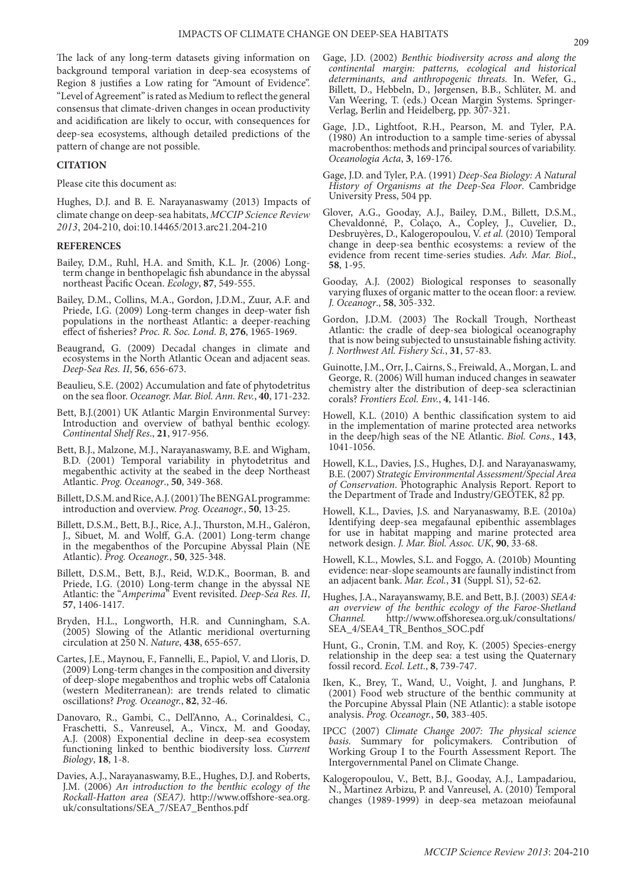The lack of any long-term datasets giving information on background temporal variation in deep-sea ecosystems of Region 8 justifies a Low rating for "Amount of Evidence". "Level of Agreement" is rated as Medium to reflect the general consensus that climate-driven changes in ocean productivity and acidification are likely to occur, with consequences for deep-sea ecosystems, although detailed predictions of the pattern of change are not possible.

#### **CITATION**

Please cite this document as:

Hughes, D.J. and B. E. Narayanaswamy (2013) Impacts of climate change on deep-sea habitats, *MCCIP Science Review 2013*, 204-210, doi:10.14465/2013.arc21.204-210

#### **REFERENCES**

- Bailey, D.M., Ruhl, H.A. and Smith, K.L. Jr. (2006) Longterm change in benthopelagic fish abundance in the abyssal northeast Pacific Ocean. *Ecology*, **87**, 549-555.
- Bailey, D.M., Collins, M.A., Gordon, J.D.M., Zuur, A.F. and Priede, I.G. (2009) Long-term changes in deep-water fish populations in the northeast Atlantic: a deeper-reaching effect of fisheries? *Proc. R. Soc. Lond. B*, **276**, 1965-1969.
- Beaugrand, G. (2009) Decadal changes in climate and ecosystems in the North Atlantic Ocean and adjacent seas. *Deep-Sea Res. II*, **56**, 656-673.
- Beaulieu, S.E. (2002) Accumulation and fate of phytodetritus on the sea floor. *Oceanogr. Mar. Biol. Ann. Rev.*, **40**, 171-232.
- Bett, B.J.(2001) UK Atlantic Margin Environmental Survey: Introduction and overview of bathyal benthic ecology. *Continental Shelf Res*., **21**, 917-956.
- Bett, B.J., Malzone, M.J., Narayanaswamy, B.E. and Wigham, B.D. (2001) Temporal variability in phytodetritus and megabenthic activity at the seabed in the deep Northeast Atlantic. *Prog. Oceanogr*., **50**, 349-368.
- Billett, D.S.M. and Rice, A.J. (2001) The BENGAL programme: introduction and overview. *Prog. Oceanogr.*, **50**, 13-25.
- Billett, D.S.M., Bett, B.J., Rice, A.J., Thurston, M.H., Galéron, J., Sibuet, M. and Wolff, G.A. (2001) Long-term change in the megabenthos of the Porcupine Abyssal Plain (NE Atlantic). *Prog. Oceanogr.*, **50**, 325-348.
- Billett, D.S.M., Bett, B.J., Reid, W.D.K., Boorman, B. and Priede, I.G. (2010) Long-term change in the abyssal NE Atlantic: the "*Amperima*" Event revisited. *Deep-Sea Res. II*, **57**, 1406-1417.
- Bryden, H.L., Longworth, H.R. and Cunningham, S.A.  $(2005)$  Slowing of the Atlantic meridional overturning circulation at 250 N. *Nature*, **438**, 655-657.
- Cartes, J.E., Maynou, F., Fannelli, E., Papiol, V. and Lloris, D. (2009) Long-term changes in the composition and diversity of deep-slope megabenthos and trophic webs off Catalonia (western Mediterranean): are trends related to climatic oscillations? *Prog. Oceanogr.*, **82**, 32-46.
- Danovaro, R., Gambi, C., Dell'Anno, A., Corinaldesi, C., Fraschetti, S., Vanreusel, A., Vincx, M. and Gooday, A.J. (2008) Exponential decline in deep-sea ecosystem functioning linked to benthic biodiversity loss. *Current Biology*, **18**, 1-8.
- Davies, A.J., Narayanaswamy, B.E., Hughes, D.J. and Roberts, J.M. (2006) *An introduction to the benthic ecology of the Rockall-Hatton area (SEA7)*. http://www.offshore-sea.org. uk/consultations/SEA\_7/SEA7\_Benthos.pdf
- Gage, J.D. (2002) *Benthic biodiversity across and along the continental margin: patterns, ecological and historical determinants, and anthropogenic threats.* In. Wefer, G., Billett, D., Hebbeln, D., Jørgensen, B.B., Schlüter, M. and Van Weering, T. (eds.) Ocean Margin Systems. Springer-Verlag, Berlin and Heidelberg, pp. 307-321.
- Gage, J.D., Lightfoot, R.H., Pearson, M. and Tyler, P.A. (1980) An introduction to a sample time-series of abyssal macrobenthos: methods and principal sources of variability. *Oceanologia Acta*, **3**, 169-176.
- Gage, J.D. and Tyler, P.A. (1991) *Deep-Sea Biology: A Natural History of Organisms at the Deep-Sea Floor*. Cambridge University Press, 504 pp.
- Glover, A.G., Gooday, A.J., Bailey, D.M., Billett, D.S.M., Chevaldonné, P., Colaço, A., Copley, J., Cuvelier, D., Desbruyères, D., Kalogeropoulou, V. *et al.* (2010) Temporal change in deep-sea benthic ecosystems: a review of the evidence from recent time-series studies. *Adv. Mar. Biol*., **58**, 1-95.
- Gooday, A.J. (2002) Biological responses to seasonally varying fluxes of organic matter to the ocean floor: a review. *J. Oceanogr*., **58**, 305-332.
- Gordon, J.D.M. (2003) The Rockall Trough, Northeast Atlantic: the cradle of deep-sea biological oceanography that is now being subjected to unsustainable fishing activity. *J. Northwest Atl. Fishery Sci.*, **31**, 57-83.
- Guinotte, J.M., Orr, J., Cairns, S., Freiwald, A., Morgan, L. and George, R. (2006) Will human induced changes in seawater chemistry alter the distribution of deep-sea scleractinian corals? *Frontiers Ecol. Env.*, **4**, 141-146.
- Howell, K.L. (2010) A benthic classification system to aid in the implementation of marine protected area networks in the deep/high seas of the NE Atlantic. *Biol. Cons.*, **143**, 1041-1056.
- Howell, K.L., Davies, J.S., Hughes, D.J. and Narayanaswamy, B.E. (2007) *Strategic Environmental Assessment/Special Area of Conservation*. Photographic Analysis Report. Report to the Department of Trade and Industry/GEOTEK, 82 pp.
- Howell, K.L., Davies, J.S. and Naryanaswamy, B.E. (2010a) Identifying deep-sea megafaunal epibenthic assemblages for use in habitat mapping and marine protected area network design. *J. Mar. Biol. Assoc. UK*, **90**, 33-68.
- Howell, K.L., Mowles, S.L. and Foggo, A. (2010b) Mounting evidence: near-slope seamounts are faunally indistinct from an adjacent bank. *Mar. Ecol.*, **31** (Suppl. S1), 52-62.
- Hughes, J.A., Narayanswamy, B.E. and Bett, B.J. (2003) *SEA4: an overview of the benthic ecology of the Faroe-Shetland Channel.* http://www.offshoresea.org.uk/consultations/ SEA\_4/SEA4\_TR\_Benthos\_SOC.pdf
- Hunt, G., Cronin, T.M. and Roy, K. (2005) Species-energy relationship in the deep sea: a test using the Quaternary fossil record. *Ecol. Lett*., **8**, 739-747.
- Iken, K., Brey, T., Wand, U., Voight, J. and Junghans, P. (2001) Food web structure of the benthic community at the Porcupine Abyssal Plain (NE Atlantic): a stable isotope analysis. *Prog. Oceanogr.*, **50**, 383-405.
- IPCC (2007) *Climate Change 2007: The physical science basis.* Summary for policymakers. Contribution of Working Group I to the Fourth Assessment Report. The Intergovernmental Panel on Climate Change.
- Kalogeropoulou, V., Bett, B.J., Gooday, A.J., Lampadariou, N., Martinez Arbizu, P. and Vanreusel, A. (2010) Temporal changes (1989-1999) in deep-sea metazoan meiofaunal